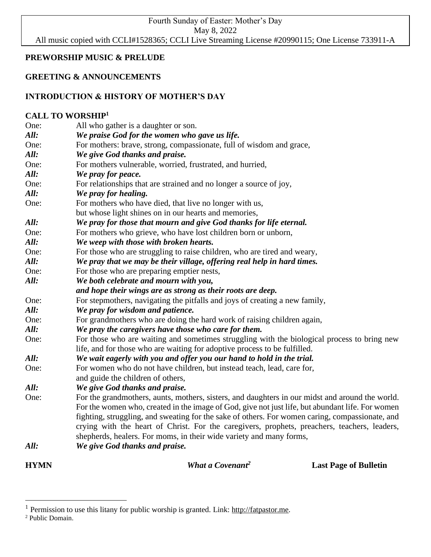Fourth Sunday of Easter: Mother's Day May 8, 2022 All music copied with CCLI#1528365; CCLI Live Streaming License #20990115; One License 733911-A

## **PREWORSHIP MUSIC & PRELUDE**

## **GREETING & ANNOUNCEMENTS**

# **INTRODUCTION & HISTORY OF MOTHER'S DAY**

## **CALL TO WORSHIP<sup>1</sup>**

| <b>HYMN</b>  | What a Covenant <sup>2</sup>                                                                                                                                        | <b>Last Page of Bulletin</b> |
|--------------|---------------------------------------------------------------------------------------------------------------------------------------------------------------------|------------------------------|
| All:         | We give God thanks and praise.                                                                                                                                      |                              |
|              | crying with the heart of Christ. For the caregivers, prophets, preachers, teachers, leaders,<br>shepherds, healers. For moms, in their wide variety and many forms, |                              |
|              | fighting, struggling, and sweating for the sake of others. For women caring, compassionate, and                                                                     |                              |
|              | For the women who, created in the image of God, give not just life, but abundant life. For women                                                                    |                              |
| One:         | For the grandmothers, aunts, mothers, sisters, and daughters in our midst and around the world.                                                                     |                              |
| All:         | We give God thanks and praise.                                                                                                                                      |                              |
|              | and guide the children of others,                                                                                                                                   |                              |
| One:         | For women who do not have children, but instead teach, lead, care for,                                                                                              |                              |
| All:         | We wait eagerly with you and offer you our hand to hold in the trial.                                                                                               |                              |
|              | life, and for those who are waiting for adoptive process to be fulfilled.                                                                                           |                              |
| One:         | For those who are waiting and sometimes struggling with the biological process to bring new                                                                         |                              |
| All:         | We pray the caregivers have those who care for them.                                                                                                                |                              |
| One:         | For grandmothers who are doing the hard work of raising children again,                                                                                             |                              |
| All:         | We pray for wisdom and patience.                                                                                                                                    |                              |
| One:         | For stepmothers, navigating the pitfalls and joys of creating a new family,                                                                                         |                              |
|              | and hope their wings are as strong as their roots are deep.                                                                                                         |                              |
| All:         | We both celebrate and mourn with you,                                                                                                                               |                              |
| One:         | We pray that we may be their village, offering real help in hard times.<br>For those who are preparing emptier nests,                                               |                              |
| One:<br>All: | For those who are struggling to raise children, who are tired and weary,                                                                                            |                              |
| All:         | We weep with those with broken hearts.                                                                                                                              |                              |
| One:         | For mothers who grieve, who have lost children born or unborn,                                                                                                      |                              |
| All:         | We pray for those that mourn and give God thanks for life eternal.                                                                                                  |                              |
|              | but whose light shines on in our hearts and memories,                                                                                                               |                              |
| One:         | For mothers who have died, that live no longer with us,                                                                                                             |                              |
| All:         | We pray for healing.                                                                                                                                                |                              |
| One:         | For relationships that are strained and no longer a source of joy,                                                                                                  |                              |
| All:         | We pray for peace.                                                                                                                                                  |                              |
| One:         | For mothers vulnerable, worried, frustrated, and hurried,                                                                                                           |                              |
| All:         | We give God thanks and praise.                                                                                                                                      |                              |
| One:         | For mothers: brave, strong, compassionate, full of wisdom and grace,                                                                                                |                              |
| All:         | We praise God for the women who gave us life.                                                                                                                       |                              |
| One:         | All who gather is a daughter or son.                                                                                                                                |                              |

<sup>&</sup>lt;sup>1</sup> Permission to use this litany for public worship is granted. Link: [http://fatpastor.me.](http://fatpastor.me/)

<sup>2</sup> Public Domain.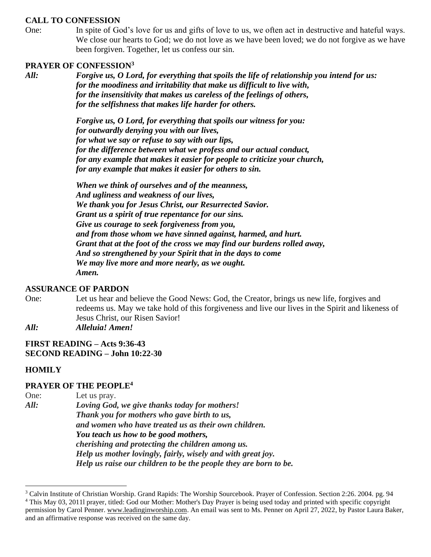#### **CALL TO CONFESSION**

One: In spite of God's love for us and gifts of love to us, we often act in destructive and hateful ways. We close our hearts to God; we do not love as we have been loved; we do not forgive as we have been forgiven. Together, let us confess our sin.

## **PRAYER OF CONFESSION<sup>3</sup>**

*All: Forgive us, O Lord, for everything that spoils the life of relationship you intend for us: for the moodiness and irritability that make us difficult to live with, for the insensitivity that makes us careless of the feelings of others, for the selfishness that makes life harder for others.*

> *Forgive us, O Lord, for everything that spoils our witness for you: for outwardly denying you with our lives, for what we say or refuse to say with our lips, for the difference between what we profess and our actual conduct, for any example that makes it easier for people to criticize your church, for any example that makes it easier for others to sin.*

> *When we think of ourselves and of the meanness, And ugliness and weakness of our lives, We thank you for Jesus Christ, our Resurrected Savior. Grant us a spirit of true repentance for our sins. Give us courage to seek forgiveness from you, and from those whom we have sinned against, harmed, and hurt. Grant that at the foot of the cross we may find our burdens rolled away, And so strengthened by your Spirit that in the days to come We may live more and more nearly, as we ought. Amen.*

#### **ASSURANCE OF PARDON**

- One: Let us hear and believe the Good News: God, the Creator, brings us new life, forgives and redeems us. May we take hold of this forgiveness and live our lives in the Spirit and likeness of Jesus Christ, our Risen Savior!
- *All: Alleluia! Amen!*

#### **FIRST READING – Acts 9:36-43 SECOND READING – John 10:22-30**

#### **HOMILY**

#### **PRAYER OF THE PEOPLE<sup>4</sup>**

One: Let us pray. *All: Loving God, we give thanks today for mothers! Thank you for mothers who gave birth to us, and women who have treated us as their own children. You teach us how to be good mothers, cherishing and protecting the children among us. Help us mother lovingly, fairly, wisely and with great joy. Help us raise our children to be the people they are born to be.*

<sup>&</sup>lt;sup>3</sup> Calvin Institute of Christian Worship. Grand Rapids: The Worship Sourcebook. Prayer of Confession. Section 2:26. 2004. pg. 94 <sup>4</sup> This May 03, 2011l prayer, titled: God our Mother: Mother's Day Prayer is being used today and printed with specific copyright permission by Carol Penner. [www.leadinginworship.com.](http://www.leadinginworship.com/) An email was sent to Ms. Penner on April 27, 2022, by Pastor Laura Baker, and an affirmative response was received on the same day.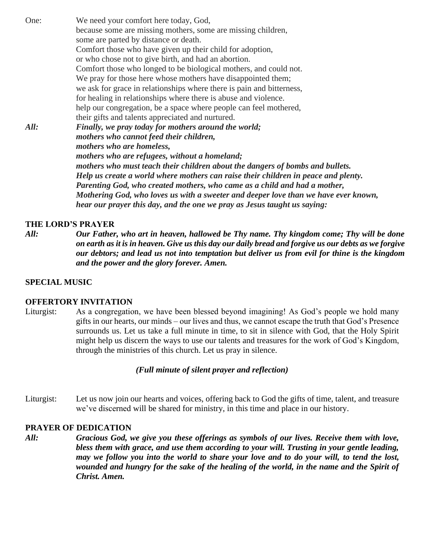One: We need your comfort here today, God, because some are missing mothers, some are missing children, some are parted by distance or death. Comfort those who have given up their child for adoption, or who chose not to give birth, and had an abortion. Comfort those who longed to be biological mothers, and could not. We pray for those here whose mothers have disappointed them; we ask for grace in relationships where there is pain and bitterness, for healing in relationships where there is abuse and violence. help our congregation, be a space where people can feel mothered, their gifts and talents appreciated and nurtured. *All: Finally, we pray today for mothers around the world; mothers who cannot feed their children, mothers who are homeless, mothers who are refugees, without a homeland; mothers who must teach their children about the dangers of bombs and bullets. Help us create a world where mothers can raise their children in peace and plenty. Parenting God, who created mothers, who came as a child and had a mother, Mothering God, who loves us with a sweeter and deeper love than we have ever known, hear our prayer this day, and the one we pray as Jesus taught us saying:*

#### **THE LORD'S PRAYER**

*All: Our Father, who art in heaven, hallowed be Thy name. Thy kingdom come; Thy will be done on earth as it is in heaven. Give us this day our daily bread and forgive us our debts as we forgive our debtors; and lead us not into temptation but deliver us from evil for thine is the kingdom and the power and the glory forever. Amen.*

#### **SPECIAL MUSIC**

#### **OFFERTORY INVITATION**

Liturgist: As a congregation, we have been blessed beyond imagining! As God's people we hold many gifts in our hearts, our minds – our lives and thus, we cannot escape the truth that God's Presence surrounds us. Let us take a full minute in time, to sit in silence with God, that the Holy Spirit might help us discern the ways to use our talents and treasures for the work of God's Kingdom, through the ministries of this church. Let us pray in silence.

#### *(Full minute of silent prayer and reflection)*

Liturgist: Let us now join our hearts and voices, offering back to God the gifts of time, talent, and treasure we've discerned will be shared for ministry, in this time and place in our history.

#### **PRAYER OF DEDICATION**

*All: Gracious God, we give you these offerings as symbols of our lives. Receive them with love, bless them with grace, and use them according to your will. Trusting in your gentle leading, may we follow you into the world to share your love and to do your will, to tend the lost, wounded and hungry for the sake of the healing of the world, in the name and the Spirit of Christ. Amen.*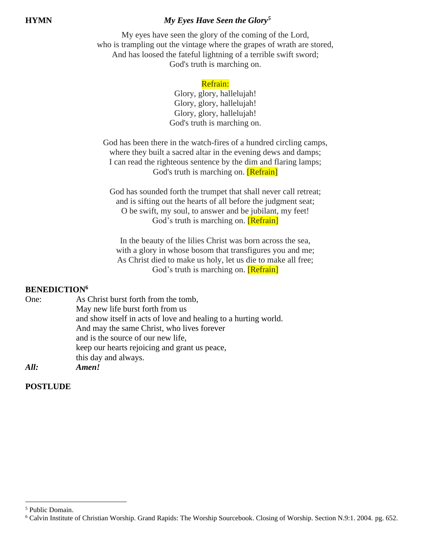# **HYMN** *My Eyes Have Seen the Glory<sup>5</sup>*

My eyes have seen the glory of the coming of the Lord, who is trampling out the vintage where the grapes of wrath are stored, And has loosed the fateful lightning of a terrible swift sword; God's truth is marching on.

## Refrain:

Glory, glory, hallelujah! Glory, glory, hallelujah! Glory, glory, hallelujah! God's truth is marching on.

God has been there in the watch-fires of a hundred circling camps, where they built a sacred altar in the evening dews and damps; I can read the righteous sentence by the dim and flaring lamps; God's truth is marching on. **[Refrain]** 

God has sounded forth the trumpet that shall never call retreat; and is sifting out the hearts of all before the judgment seat; O be swift, my soul, to answer and be jubilant, my feet! God's truth is marching on. **[Refrain]** 

In the beauty of the lilies Christ was born across the sea, with a glory in whose bosom that transfigures you and me; As Christ died to make us holy, let us die to make all free; God's truth is marching on. **[Refrain]** 

## **BENEDICTION<sup>6</sup>**

| One: | As Christ burst forth from the tomb,                            |
|------|-----------------------------------------------------------------|
|      | May new life burst forth from us                                |
|      | and show itself in acts of love and healing to a hurting world. |
|      | And may the same Christ, who lives forever                      |
|      | and is the source of our new life,                              |
|      | keep our hearts rejoicing and grant us peace,                   |
|      | this day and always.                                            |
| All: | Amen!                                                           |

**POSTLUDE** 

<sup>5</sup> Public Domain.

<sup>6</sup> Calvin Institute of Christian Worship. Grand Rapids: The Worship Sourcebook. Closing of Worship. Section N.9:1. 2004. pg. 652.